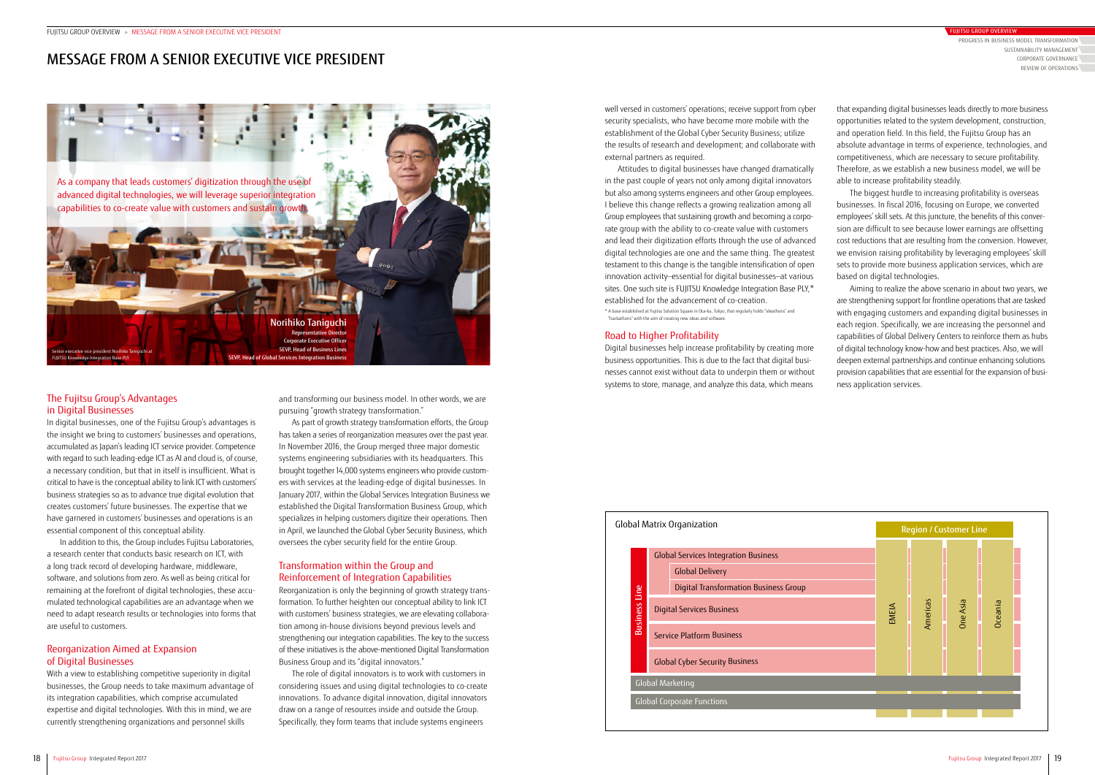# The Fujitsu Group's Advantages in Digital Businesses

In digital businesses, one of the Fujitsu Group's advantages is the insight we bring to customers' businesses and operations, accumulated as Japan's leading ICT service provider. Competence with regard to such leading-edge ICT as AI and cloud is, of course, a necessary condition, but that in itself is insufficient. What is critical to have is the conceptual ability to link ICT with customers' business strategies so as to advance true digital evolution that creates customers' future businesses. The expertise that we have garnered in customers' businesses and operations is an essential component of this conceptual ability.

In addition to this, the Group includes Fujitsu Laboratories, a research center that conducts basic research on ICT, with a long track record of developing hardware, middleware, software, and solutions from zero. As well as being critical for remaining at the forefront of digital technologies, these accumulated technological capabilities are an advantage when we need to adapt research results or technologies into forms that are useful to customers.

# Reorganization Aimed at Expansion of Digital Businesses

With a view to establishing competitive superiority in digital businesses, the Group needs to take maximum advantage of its integration capabilities, which comprise accumulated expertise and digital technologies. With this in mind, we are currently strengthening organizations and personnel skills

well versed in customers' operations; receive support from cyber security specialists, who have become more mobile with the establishment of the Global Cyber Security Business; utilize the results of research and development; and collaborate with external partners as required.

Attitudes to digital businesses have changed dramatically in the past couple of years not only among digital innovators but also among systems engineers and other Group employees. I believe this change reflects a growing realization among all Group employees that sustaining growth and becoming a corporate group with the ability to co-create value with customers and lead their digitization efforts through the use of advanced digital technologies are one and the same thing. The greatest testament to this change is the tangible intensification of open innovation activity—essential for digital businesses—at various sites. One such site is FUJITSU Knowledge Integration Base PLY,\* established for the advancement of co-creation.

\* A base established at Fujitsu Solution Square in Ota-ku, Tokyo, that regularly holds "ideathons" and "hackathons" with the aim of creating new ideas and software.

### Road to Higher Profitability

Digital businesses help increase profitability by creating more business opportunities. This is due to the fact that digital businesses cannot exist without data to underpin them or without systems to store, manage, and analyze this data, which means

and transforming our business model. In other words, we are pursuing "growth strategy transformation."

As part of growth strategy transformation efforts, the Group has taken a series of reorganization measures over the past year. In November 2016, the Group merged three major domestic systems engineering subsidiaries with its headquarters. This brought together 14,000 systems engineers who provide customers with services at the leading-edge of digital businesses. In January 2017, within the Global Services Integration Business we established the Digital Transformation Business Group, which specializes in helping customers digitize their operations. Then in April, we launched the Global Cyber Security Business, which oversees the cyber security field for the entire Group.

### Transformation within the Group and Reinforcement of Integration Capabilities

Reorganization is only the beginning of growth strategy transformation. To further heighten our conceptual ability to link ICT with customers' business strategies, we are elevating collaboration among in-house divisions beyond previous levels and strengthening our integration capabilities. The key to the success of these initiatives is the above-mentioned Digital Transformation Business Group and its "digital innovators."

The role of digital innovators is to work with customers in considering issues and using digital technologies to co-create innovations. To advance digital innovation, digital innovators draw on a range of resources inside and outside the Group. Specifically, they form teams that include systems engineers

that expanding digital businesses leads directly to more business opportunities related to the system development, construction, and operation field. In this field, the Fujitsu Group has an absolute advantage in terms of experience, technologies, and competitiveness, which are necessary to secure profitability. Therefore, as we establish a new business model, we will be able to increase profitability steadily.

The biggest hurdle to increasing profitability is overseas businesses. In fiscal 2016, focusing on Europe, we converted employees' skill sets. At this juncture, the benefits of this conversion are difficult to see because lower earnings are offsetting cost reductions that are resulting from the conversion. However, we envision raising profitability by leveraging employees' skill sets to provide more business application services, which are based on digital technologies.

Aiming to realize the above scenario in about two years, we are strengthening support for frontline operations that are tasked with engaging customers and expanding digital businesses in each region. Specifically, we are increasing the personnel and capabilities of Global Delivery Centers to reinforce them as hubs of digital technology know-how and best practices. Also, we will deepen external partnerships and continue enhancing solutions provision capabilities that are essential for the expansion of business application services.



# MESSAGE FROM A SENIOR EXECUTIVE VICE PRESIDENT

| Global Matrix Organization |                         |                                             |                                              |
|----------------------------|-------------------------|---------------------------------------------|----------------------------------------------|
|                            | <b>Business Line</b>    | <b>Global Services Integration Business</b> |                                              |
|                            |                         |                                             | <b>Global Delivery</b>                       |
|                            |                         |                                             | <b>Digital Transformation Business Group</b> |
|                            |                         | Digital Services Business                   |                                              |
|                            |                         | <b>Service Platform Business</b>            |                                              |
|                            |                         | <b>Global Cyber Security Business</b>       |                                              |
|                            | <b>Global Marketing</b> |                                             |                                              |
|                            |                         | <b>Global Corporate Functions</b>           |                                              |
|                            |                         |                                             |                                              |



PROGRESS IN BUSINESS MODEL TRANSFORMATION CORPORATE GOVERNANCE REVIEW OF OPERATIONS SUSTAINABILITY MANAGEMENT